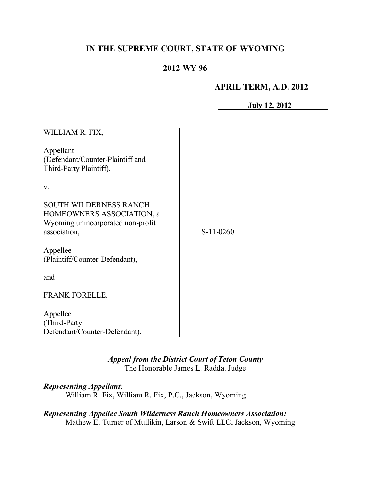# **IN THE SUPREME COURT, STATE OF WYOMING**

# **2012 WY 96**

# **APRIL TERM, A.D. 2012**

**July 12, 2012**

| WILLIAM R. FIX,                                                                                                 |             |
|-----------------------------------------------------------------------------------------------------------------|-------------|
| Appellant<br>(Defendant/Counter-Plaintiff and<br>Third-Party Plaintiff),                                        |             |
| V.                                                                                                              |             |
| <b>SOUTH WILDERNESS RANCH</b><br>HOMEOWNERS ASSOCIATION, a<br>Wyoming unincorporated non-profit<br>association, | $S-11-0260$ |
| Appellee<br>(Plaintiff/Counter-Defendant),                                                                      |             |
| and                                                                                                             |             |
| <b>FRANK FORELLE,</b>                                                                                           |             |
| Appellee<br>(Third-Party<br>Defendant/Counter-Defendant).                                                       |             |

*Appeal from the District Court of Teton County* The Honorable James L. Radda, Judge

*Representing Appellant:* William R. Fix, William R. Fix, P.C., Jackson, Wyoming.

*Representing Appellee South Wilderness Ranch Homeowners Association:* Mathew E. Turner of Mullikin, Larson & Swift LLC, Jackson, Wyoming.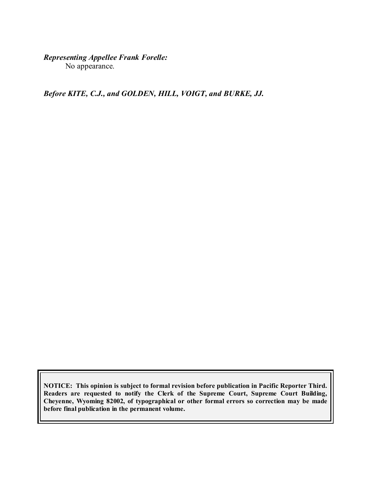# *Representing Appellee Frank Forelle:*

No appearance.

*Before KITE, C.J., and GOLDEN, HILL, VOIGT, and BURKE, JJ.*

**NOTICE: This opinion is subject to formal revision before publication in Pacific Reporter Third. Readers are requested to notify the Clerk of the Supreme Court, Supreme Court Building, Cheyenne, Wyoming 82002, of typographical or other formal errors so correction may be made before final publication in the permanent volume.**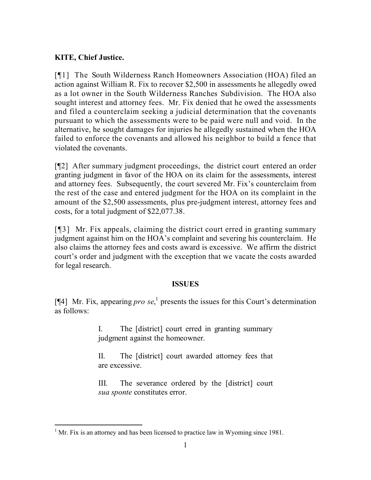## **KITE, Chief Justice.**

[¶1] The South Wilderness Ranch Homeowners Association (HOA) filed an action against William R. Fix to recover \$2,500 in assessments he allegedly owed as a lot owner in the South Wilderness Ranches Subdivision. The HOA also sought interest and attorney fees. Mr. Fix denied that he owed the assessments and filed a counterclaim seeking a judicial determination that the covenants pursuant to which the assessments were to be paid were null and void. In the alternative, he sought damages for injuries he allegedly sustained when the HOA failed to enforce the covenants and allowed his neighbor to build a fence that violated the covenants.

[¶2] After summary judgment proceedings, the district court entered an order granting judgment in favor of the HOA on its claim for the assessments, interest and attorney fees. Subsequently, the court severed Mr. Fix's counterclaim from the rest of the case and entered judgment for the HOA on its complaint in the amount of the \$2,500 assessments, plus pre-judgment interest, attorney fees and costs, for a total judgment of \$22,077.38.

[¶3] Mr. Fix appeals, claiming the district court erred in granting summary judgment against him on the HOA's complaint and severing his counterclaim. He also claims the attorney fees and costs award is excessive. We affirm the district court's order and judgment with the exception that we vacate the costs awarded for legal research.

### **ISSUES**

[ $[$ 4] Mr. Fix, appearing *pro* se,<sup>1</sup> presents the issues for this Court's determination as follows:

> I. The [district] court erred in granting summary judgment against the homeowner.

> II. The [district] court awarded attorney fees that are excessive.

> III. The severance ordered by the [district] court *sua sponte* constitutes error.

  $<sup>1</sup>$  Mr. Fix is an attorney and has been licensed to practice law in Wyoming since 1981.</sup>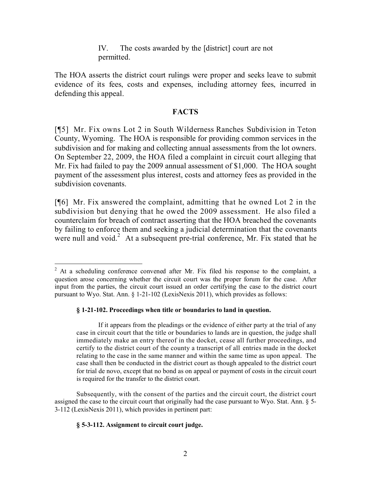IV. The costs awarded by the [district] court are not permitted.

The HOA asserts the district court rulings were proper and seeks leave to submit evidence of its fees, costs and expenses, including attorney fees, incurred in defending this appeal.

### **FACTS**

[¶5] Mr. Fix owns Lot 2 in South Wilderness Ranches Subdivision in Teton County, Wyoming. The HOA is responsible for providing common services in the subdivision and for making and collecting annual assessments from the lot owners. On September 22, 2009, the HOA filed a complaint in circuit court alleging that Mr. Fix had failed to pay the 2009 annual assessment of \$1,000. The HOA sought payment of the assessment plus interest, costs and attorney fees as provided in the subdivision covenants.

[¶6] Mr. Fix answered the complaint, admitting that he owned Lot 2 in the subdivision but denying that he owed the 2009 assessment. He also filed a counterclaim for breach of contract asserting that the HOA breached the covenants by failing to enforce them and seeking a judicial determination that the covenants were null and void.<sup>2</sup> At a subsequent pre-trial conference, Mr. Fix stated that he

#### **§ 1-21-102. Proceedings when title or boundaries to land in question.**

If it appears from the pleadings or the evidence of either party at the trial of any case in circuit court that the title or boundaries to lands are in question, the judge shall immediately make an entry thereof in the docket, cease all further proceedings, and certify to the district court of the county a transcript of all entries made in the docket relating to the case in the same manner and within the same time as upon appeal. The case shall then be conducted in the district court as though appealed to the district court for trial de novo, except that no bond as on appeal or payment of costs in the circuit court is required for the transfer to the district court.

Subsequently, with the consent of the parties and the circuit court, the district court assigned the case to the circuit court that originally had the case pursuant to Wyo. Stat. Ann. § 5- 3-112 (LexisNexis 2011), which provides in pertinent part:

#### **§ 5-3-112. Assignment to circuit court judge.**

 $\overline{a}$ 

 $2$  At a scheduling conference convened after Mr. Fix filed his response to the complaint, a question arose concerning whether the circuit court was the proper forum for the case. After input from the parties, the circuit court issued an order certifying the case to the district court pursuant to Wyo. Stat. Ann. § 1-21-102 (LexisNexis 2011), which provides as follows: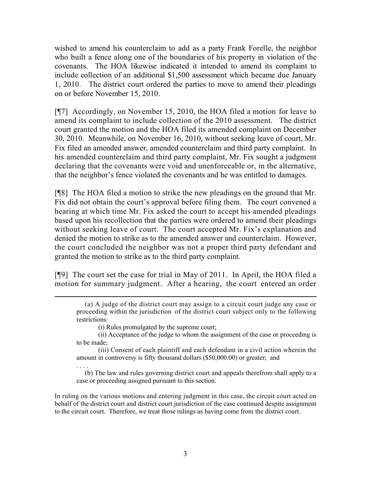wished to amend his counterclaim to add as a party Frank Forelle, the neighbor who built a fence along one of the boundaries of his property in violation of the covenants. The HOA likewise indicated it intended to amend its complaint to include collection of an additional \$1,500 assessment which became due January 1, 2010. The district court ordered the parties to move to amend their pleadings on or before November 15, 2010.

[¶7] Accordingly, on November 15, 2010, the HOA filed a motion for leave to amend its complaint to include collection of the 2010 assessment. The district court granted the motion and the HOA filed its amended complaint on December 30, 2010. Meanwhile, on November 16, 2010, without seeking leave of court, Mr. Fix filed an amended answer, amended counterclaim and third party complaint. In his amended counterclaim and third party complaint, Mr. Fix sought a judgment declaring that the covenants were void and unenforceable or, in the alternative, that the neighbor's fence violated the covenants and he was entitled to damages.

[¶8] The HOA filed a motion to strike the new pleadings on the ground that Mr. Fix did not obtain the court's approval before filing them. The court convened a hearing at which time Mr. Fix asked the court to accept his amended pleadings based upon his recollection that the parties were ordered to amend their pleadings without seeking leave of court. The court accepted Mr. Fix's explanation and denied the motion to strike as to the amended answer and counterclaim. However, the court concluded the neighbor was not a proper third party defendant and granted the motion to strike as to the third party complaint.

[¶9] The court set the case for trial in May of 2011. In April, the HOA filed a motion for summary judgment. After a hearing, the court entered an order

(i) Rules promulgated by the supreme court;

 $\overline{a}$ 

- (ii) Acceptance of the judge to whom the assignment of the case or proceeding is to be made;
- (iii) Consent of each plaintiff and each defendant in a civil action wherein the amount in controversy is fifty thousand dollars (\$50,000.00) or greater; and

. . . . (b) The law and rules governing district court and appeals therefrom shall apply to a case or proceeding assigned pursuant to this section.

In ruling on the various motions and entering judgment in this case, the circuit court acted on behalf of the district court and district court jurisdiction of the case continued despite assignment to the circuit court. Therefore, we treat those rulings as having come from the district court.

 <sup>(</sup>a) A judge of the district court may assign to a circuit court judge any case or proceeding within the jurisdiction of the district court subject only to the following restrictions: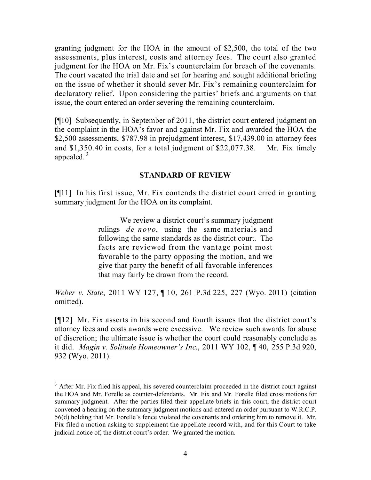granting judgment for the HOA in the amount of \$2,500, the total of the two assessments, plus interest, costs and attorney fees. The court also granted judgment for the HOA on Mr. Fix's counterclaim for breach of the covenants. The court vacated the trial date and set for hearing and sought additional briefing on the issue of whether it should sever Mr. Fix's remaining counterclaim for declaratory relief. Upon considering the parties' briefs and arguments on that issue, the court entered an order severing the remaining counterclaim.

[¶10] Subsequently, in September of 2011, the district court entered judgment on the complaint in the HOA's favor and against Mr. Fix and awarded the HOA the \$2,500 assessments, \$787.98 in prejudgment interest, \$17,439.00 in attorney fees and \$1,350.40 in costs, for a total judgment of \$22,077.38. Mr. Fix timely appealed. 3

### **STANDARD OF REVIEW**

[¶11] In his first issue, Mr. Fix contends the district court erred in granting summary judgment for the HOA on its complaint.

> We review a district court's summary judgment rulings *de novo*, using the same materials and following the same standards as the district court. The facts are reviewed from the vantage point most favorable to the party opposing the motion, and we give that party the benefit of all favorable inferences that may fairly be drawn from the record.

*Weber v. State*, 2011 WY 127, ¶ 10, 261 P.3d 225, 227 (Wyo. 2011) (citation omitted).

[¶12] Mr. Fix asserts in his second and fourth issues that the district court's attorney fees and costs awards were excessive. We review such awards for abuse of discretion; the ultimate issue is whether the court could reasonably conclude as it did. *Magin v. Solitude Homeowner's Inc*., 2011 WY 102, ¶ 40, 255 P.3d 920, 932 (Wyo. 2011).

 $\overline{a}$ 

<sup>&</sup>lt;sup>3</sup> After Mr. Fix filed his appeal, his severed counterclaim proceeded in the district court against the HOA and Mr. Forelle as counter-defendants. Mr. Fix and Mr. Forelle filed cross motions for summary judgment. After the parties filed their appellate briefs in this court, the district court convened a hearing on the summary judgment motions and entered an order pursuant to W.R.C.P. 56(d) holding that Mr. Forelle's fence violated the covenants and ordering him to remove it. Mr. Fix filed a motion asking to supplement the appellate record with, and for this Court to take judicial notice of, the district court's order. We granted the motion.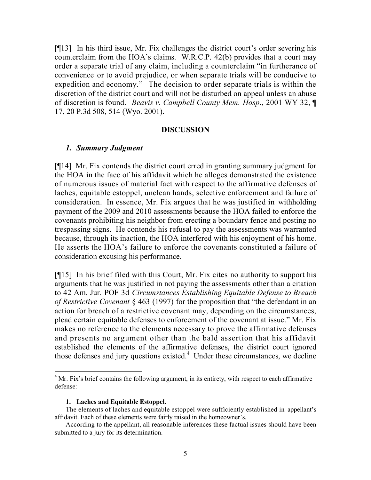[¶13] In his third issue, Mr. Fix challenges the district court's order severing his counterclaim from the HOA's claims. W.R.C.P. 42(b) provides that a court may order a separate trial of any claim, including a counterclaim "in furtherance of convenience or to avoid prejudice, or when separate trials will be conducive to expedition and economy." The decision to order separate trials is within the discretion of the district court and will not be disturbed on appeal unless an abuse of discretion is found. *Beavis v. Campbell County Mem. Hosp*., 2001 WY 32, ¶ 17, 20 P.3d 508, 514 (Wyo. 2001).

#### **DISCUSSION**

### *1. Summary Judgment*

[¶14] Mr. Fix contends the district court erred in granting summary judgment for the HOA in the face of his affidavit which he alleges demonstrated the existence of numerous issues of material fact with respect to the affirmative defenses of laches, equitable estoppel, unclean hands, selective enforcement and failure of consideration. In essence, Mr. Fix argues that he was justified in withholding payment of the 2009 and 2010 assessments because the HOA failed to enforce the covenants prohibiting his neighbor from erecting a boundary fence and posting no trespassing signs. He contends his refusal to pay the assessments was warranted because, through its inaction, the HOA interfered with his enjoyment of his home. He asserts the HOA's failure to enforce the covenants constituted a failure of consideration excusing his performance.

[¶15] In his brief filed with this Court, Mr. Fix cites no authority to support his arguments that he was justified in not paying the assessments other than a citation to 42 Am. Jur. POF 3d *Circumstances Establishing Equitable Defense to Breach of Restrictive Covenant* § 463 (1997) for the proposition that "the defendant in an action for breach of a restrictive covenant may, depending on the circumstances, plead certain equitable defenses to enforcement of the covenant at issue." Mr. Fix makes no reference to the elements necessary to prove the affirmative defenses and presents no argument other than the bald assertion that his affidavit established the elements of the affirmative defenses, the district court ignored those defenses and jury questions existed.<sup>4</sup> Under these circumstances, we decline

#### **1. Laches and Equitable Estoppel.**

 $\overline{a}$ 

 $4$  Mr. Fix's brief contains the following argument, in its entirety, with respect to each affirmative defense:

The elements of laches and equitable estoppel were sufficiently established in appellant's affidavit. Each of these elements were fairly raised in the homeowner's.

According to the appellant, all reasonable inferences these factual issues should have been submitted to a jury for its determination.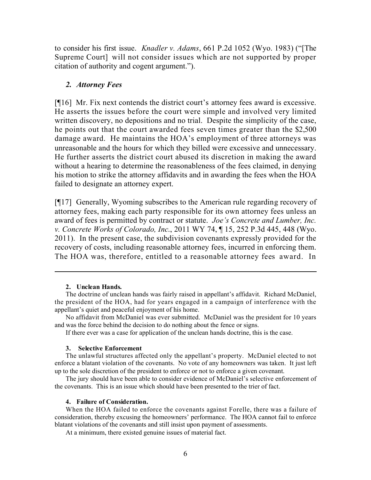to consider his first issue. *Knadler v. Adams*, 661 P.2d 1052 (Wyo. 1983) ("[The Supreme Court] will not consider issues which are not supported by proper citation of authority and cogent argument.").

#### *2. Attorney Fees*

[¶16] Mr. Fix next contends the district court's attorney fees award is excessive. He asserts the issues before the court were simple and involved very limited written discovery, no depositions and no trial. Despite the simplicity of the case, he points out that the court awarded fees seven times greater than the \$2,500 damage award. He maintains the HOA's employment of three attorneys was unreasonable and the hours for which they billed were excessive and unnecessary. He further asserts the district court abused its discretion in making the award without a hearing to determine the reasonableness of the fees claimed, in denying his motion to strike the attorney affidavits and in awarding the fees when the HOA failed to designate an attorney expert.

[¶17] Generally, Wyoming subscribes to the American rule regarding recovery of attorney fees, making each party responsible for its own attorney fees unless an award of fees is permitted by contract or statute. *Joe's Concrete and Lumber, Inc. v. Concrete Works of Colorado, Inc*., 2011 WY 74, ¶ 15, 252 P.3d 445, 448 (Wyo. 2011). In the present case, the subdivision covenants expressly provided for the recovery of costs, including reasonable attorney fees, incurred in enforcing them. The HOA was, therefore, entitled to a reasonable attorney fees award. In

#### **2. Unclean Hands.**

 $\overline{a}$ 

The doctrine of unclean hands was fairly raised in appellant's affidavit. Richard McDaniel, the president of the HOA, had for years engaged in a campaign of interference with the appellant's quiet and peaceful enjoyment of his home.

No affidavit from McDaniel was ever submitted. McDaniel was the president for 10 years and was the force behind the decision to do nothing about the fence or signs.

If there ever was a case for application of the unclean hands doctrine, this is the case.

#### **3. Selective Enforcement**

The unlawful structures affected only the appellant's property. McDaniel elected to not enforce a blatant violation of the covenants. No vote of any homeowners was taken. It just left up to the sole discretion of the president to enforce or not to enforce a given covenant.

The jury should have been able to consider evidence of McDaniel's selective enforcement of the covenants. This is an issue which should have been presented to the trier of fact.

#### **4. Failure of Consideration.**

When the HOA failed to enforce the covenants against Forelle, there was a failure of consideration, thereby excusing the homeowners' performance. The HOA cannot fail to enforce blatant violations of the covenants and still insist upon payment of assessments.

At a minimum, there existed genuine issues of material fact.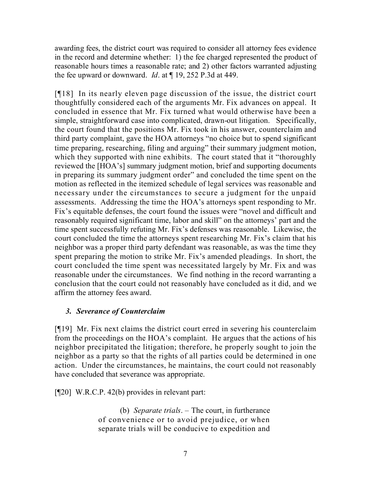awarding fees, the district court was required to consider all attorney fees evidence in the record and determine whether: 1) the fee charged represented the product of reasonable hours times a reasonable rate; and 2) other factors warranted adjusting the fee upward or downward. *Id*. at ¶ 19, 252 P.3d at 449.

[¶18] In its nearly eleven page discussion of the issue, the district court thoughtfully considered each of the arguments Mr. Fix advances on appeal. It concluded in essence that Mr. Fix turned what would otherwise have been a simple, straightforward case into complicated, drawn-out litigation. Specifically, the court found that the positions Mr. Fix took in his answer, counterclaim and third party complaint, gave the HOA attorneys "no choice but to spend significant time preparing, researching, filing and arguing" their summary judgment motion, which they supported with nine exhibits. The court stated that it "thoroughly" reviewed the [HOA's] summary judgment motion, brief and supporting documents in preparing its summary judgment order" and concluded the time spent on the motion as reflected in the itemized schedule of legal services was reasonable and necessary under the circumstances to secure a judgment for the unpaid assessments. Addressing the time the HOA's attorneys spent responding to Mr. Fix's equitable defenses, the court found the issues were "novel and difficult and reasonably required significant time, labor and skill" on the attorneys' part and the time spent successfully refuting Mr. Fix's defenses was reasonable. Likewise, the court concluded the time the attorneys spent researching Mr. Fix's claim that his neighbor was a proper third party defendant was reasonable, as was the time they spent preparing the motion to strike Mr. Fix's amended pleadings. In short, the court concluded the time spent was necessitated largely by Mr. Fix and was reasonable under the circumstances. We find nothing in the record warranting a conclusion that the court could not reasonably have concluded as it did, and we affirm the attorney fees award.

# *3. Severance of Counterclaim*

[¶19] Mr. Fix next claims the district court erred in severing his counterclaim from the proceedings on the HOA's complaint. He argues that the actions of his neighbor precipitated the litigation; therefore, he properly sought to join the neighbor as a party so that the rights of all parties could be determined in one action. Under the circumstances, he maintains, the court could not reasonably have concluded that severance was appropriate.

[¶20] W.R.C.P. 42(b) provides in relevant part:

(b) *Separate trials*. – The court, in furtherance of convenience or to avoid prejudice, or when separate trials will be conducive to expedition and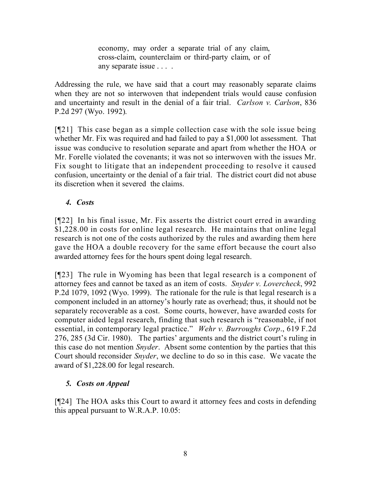economy, may order a separate trial of any claim, cross-claim, counterclaim or third-party claim, or of any separate issue . . . .

Addressing the rule, we have said that a court may reasonably separate claims when they are not so interwoven that independent trials would cause confusion and uncertainty and result in the denial of a fair trial. *Carlson v. Carlson*, 836 P.2d 297 (Wyo. 1992).

[¶21] This case began as a simple collection case with the sole issue being whether Mr. Fix was required and had failed to pay a \$1,000 lot assessment. That issue was conducive to resolution separate and apart from whether the HOA or Mr. Forelle violated the covenants; it was not so interwoven with the issues Mr. Fix sought to litigate that an independent proceeding to resolve it caused confusion, uncertainty or the denial of a fair trial. The district court did not abuse its discretion when it severed the claims.

### *4. Costs*

[¶22] In his final issue, Mr. Fix asserts the district court erred in awarding \$1,228.00 in costs for online legal research. He maintains that online legal research is not one of the costs authorized by the rules and awarding them here gave the HOA a double recovery for the same effort because the court also awarded attorney fees for the hours spent doing legal research.

[¶23] The rule in Wyoming has been that legal research is a component of attorney fees and cannot be taxed as an item of costs. *Snyder v. Lovercheck*, 992 P.2d 1079, 1092 (Wyo. 1999). The rationale for the rule is that legal research is a component included in an attorney's hourly rate as overhead; thus, it should not be separately recoverable as a cost. Some courts, however, have awarded costs for computer aided legal research, finding that such research is "reasonable, if not essential, in contemporary legal practice." *Wehr v. Burroughs Corp*., 619 F.2d 276, 285 (3d Cir. 1980). The parties' arguments and the district court's ruling in this case do not mention *Snyder*. Absent some contention by the parties that this Court should reconsider *Snyder*, we decline to do so in this case. We vacate the award of \$1,228.00 for legal research.

# *5. Costs on Appeal*

[¶24] The HOA asks this Court to award it attorney fees and costs in defending this appeal pursuant to W.R.A.P. 10.05: